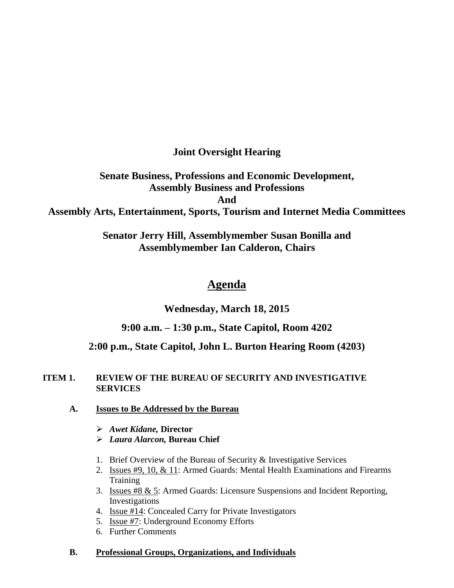**Joint Oversight Hearing**

**Senate Business, Professions and Economic Development, Assembly Business and Professions And Assembly Arts, Entertainment, Sports, Tourism and Internet Media Committees**

> **Senator Jerry Hill, Assemblymember Susan Bonilla and Assemblymember Ian Calderon, Chairs**

# **Agenda**

**Wednesday, March 18, 2015**

# **9:00 a.m. – 1:30 p.m., State Capitol, Room 4202**

# **2:00 p.m., State Capitol, John L. Burton Hearing Room (4203)**

# **ITEM 1. REVIEW OF THE BUREAU OF SECURITY AND INVESTIGATIVE SERVICES**

- **A. Issues to Be Addressed by the Bureau**
	- *Awet Kidane,* **Director**
	- *Laura Alarcon,* **Bureau Chief**
	- 1. Brief Overview of the Bureau of Security & Investigative Services
	- 2. Issues #9, 10, & 11: Armed Guards: Mental Health Examinations and Firearms **Training**
	- 3. Issues #8 & 5: Armed Guards: Licensure Suspensions and Incident Reporting, Investigations
	- 4. Issue #14: Concealed Carry for Private Investigators
	- 5. Issue #7: Underground Economy Efforts
	- 6. Further Comments

# **B. Professional Groups, Organizations, and Individuals**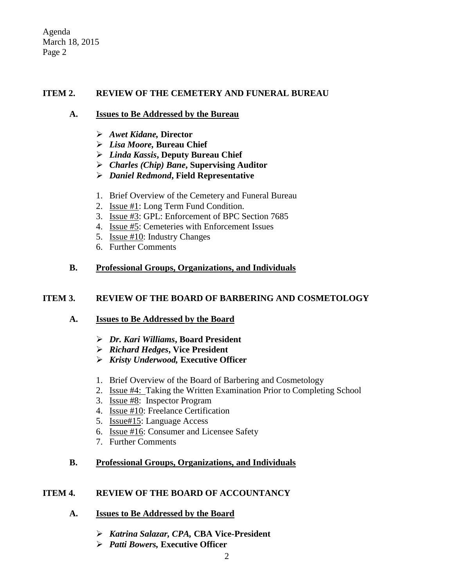Agenda March 18, 2015 Page 2

#### **ITEM 2. REVIEW OF THE CEMETERY AND FUNERAL BUREAU**

#### **A. Issues to Be Addressed by the Bureau**

- *Awet Kidane,* **Director**
- *Lisa Moore,* **Bureau Chief**
- *Linda Kassis***, Deputy Bureau Chief**
- *Charles (Chip) Bane***, Supervising Auditor**
- *Daniel Redmond***, Field Representative**
- 1. Brief Overview of the Cemetery and Funeral Bureau
- 2. Issue #1: Long Term Fund Condition.
- 3. Issue #3: GPL: Enforcement of BPC Section 7685
- 4. Issue #5: Cemeteries with Enforcement Issues
- 5. Issue #10: Industry Changes
- 6. Further Comments

# **B. Professional Groups, Organizations, and Individuals**

### **ITEM 3. REVIEW OF THE BOARD OF BARBERING AND COSMETOLOGY**

# **A. Issues to Be Addressed by the Board**

- *Dr. Kari Williams***, Board President**
- *Richard Hedges***, Vice President**
- *Kristy Underwood,* **Executive Officer**
- 1. Brief Overview of the Board of Barbering and Cosmetology
- 2. Issue #4: Taking the Written Examination Prior to Completing School
- 3. Issue #8: Inspector Program
- 4. Issue #10: Freelance Certification
- 5. Issue#15: Language Access
- 6. Issue #16: Consumer and Licensee Safety
- 7. Further Comments

# **B. Professional Groups, Organizations, and Individuals**

#### **ITEM 4. REVIEW OF THE BOARD OF ACCOUNTANCY**

- **A. Issues to Be Addressed by the Board**
	- *Katrina Salazar, CPA,* **CBA Vice-President**
	- *Patti Bowers,* **Executive Officer**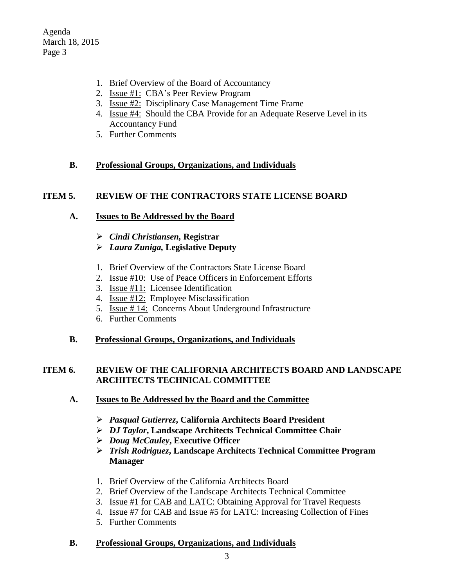Agenda March 18, 2015 Page 3

- 1. Brief Overview of the Board of Accountancy
- 2. Issue #1: CBA's Peer Review Program
- 3. Issue #2: Disciplinary Case Management Time Frame
- 4. Issue #4: Should the CBA Provide for an Adequate Reserve Level in its Accountancy Fund
- 5. Further Comments

# **B. Professional Groups, Organizations, and Individuals**

#### **ITEM 5. REVIEW OF THE CONTRACTORS STATE LICENSE BOARD**

#### **A. Issues to Be Addressed by the Board**

- *Cindi Christiansen,* **Registrar**
- *Laura Zuniga,* **Legislative Deputy**
- 1. Brief Overview of the Contractors State License Board
- 2. Issue #10: Use of Peace Officers in Enforcement Efforts
- 3. Issue #11: Licensee Identification
- 4. Issue #12: Employee Misclassification
- 5. Issue # 14: Concerns About Underground Infrastructure
- 6. Further Comments
- **B. Professional Groups, Organizations, and Individuals**

#### **ITEM 6. REVIEW OF THE CALIFORNIA ARCHITECTS BOARD AND LANDSCAPE ARCHITECTS TECHNICAL COMMITTEE**

- **A. Issues to Be Addressed by the Board and the Committee**
	- *Pasqual Gutierrez***, California Architects Board President**
	- *DJ Taylor***, Landscape Architects Technical Committee Chair**
	- *Doug McCauley***, Executive Officer**
	- *Trish Rodriguez***, Landscape Architects Technical Committee Program Manager**
	- 1. Brief Overview of the California Architects Board
	- 2. Brief Overview of the Landscape Architects Technical Committee
	- 3. Issue #1 for CAB and LATC: Obtaining Approval for Travel Requests
	- 4. Issue #7 for CAB and Issue #5 for LATC: Increasing Collection of Fines
	- 5. Further Comments

#### **B. Professional Groups, Organizations, and Individuals**